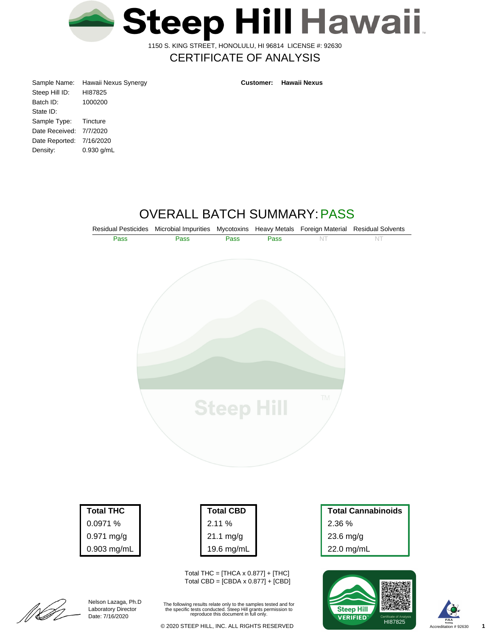

1150 S. KING STREET, HONOLULU, HI 96814 LICENSE #: 92630

# CERTIFICATE OF ANALYSIS

| Sample Name:             | Hawaii Nexus Synergy | <b>Customer:</b> | <b>Hawaii Nexus</b> |
|--------------------------|----------------------|------------------|---------------------|
| Steep Hill ID:           | HI87825              |                  |                     |
| Batch ID:                | 1000200              |                  |                     |
| State ID:                |                      |                  |                     |
| Sample Type:             | Tincture             |                  |                     |
| Date Received: 7/7/2020  |                      |                  |                     |
| Date Reported: 7/16/2020 |                      |                  |                     |
| Density:                 | $0.930$ g/mL         |                  |                     |
|                          |                      |                  |                     |

# OVERALL BATCH SUMMARY:PASS



22.0 mg/mL





[[[[<br>[[[

Nelson Lazaga, Ph.D Laboratory Director Date: 7/16/2020

0.903 mg/mL

The following results relate only to the samples tested and for the specific tests conducted. Steep Hill grants permission to reproduce this document in full only.

19.6 mg/mL

Total THC =  $[THCA \times 0.877] + [THC]$ Total CBD = [CBDA x 0.877] + [CBD]

Accreditation # 92630 **1**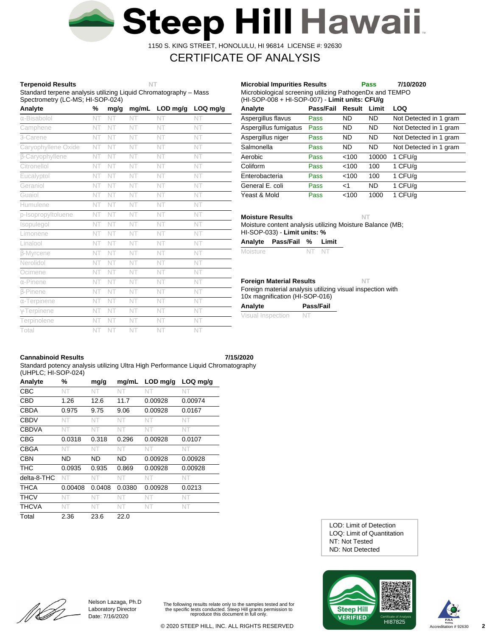

1150 S. KING STREET, HONOLULU, HI 96814 LICENSE #: 92630

# CERTIFICATE OF ANALYSIS

## **Terpenoid Results NT**

Standard terpene analysis utilizing Liquid Chromatography – Mass Spectrometry (LC-MS; HI-SOP-024)

| Analyte                | %  | mg/g | mg/mL | LOD mg/g | LOQ mg/g |
|------------------------|----|------|-------|----------|----------|
| α-Bisabolol            | NT | NT   | NT    | NT       | NT       |
| Camphene               | NT | NT   | NT    | NT       | NT       |
| 3-Carene               | NT | NT   | NT    | NT       | NT       |
| Caryophyllene Oxide    | NT | NT   | NT    | NT       | NT       |
| <b>B-Caryophyllene</b> | NT | NT   | NT    | NT       | NT       |
| Citronellol            | NT | NT   | NT    | NT       | NT       |
| Eucalyptol             | NT | NT   | NT    | NT       | NT       |
| Geraniol               | NT | NT   | NT    | NT       | NT       |
| Guaiol                 | NT | NT   | NT    | NT       | NT       |
| Humulene               | NT | NT   | NT    | NT       | NT       |
| p-Isopropyltoluene     | NT | NT   | NT    | NT       | NT       |
| Isopulegol             | NT | NT   | NT    | NT       | NT       |
| Limonene               | NT | NT   | NT    | NT       | NT       |
| Linalool               | NT | NT   | NT    | NT       | NT       |
| <b>B-Myrcene</b>       | NT | NT   | NT    | NT       | NT       |
| Nerolidol              | NT | NT   | NT    | NT       | NT       |
| Ocimene                | NT | NT   | NT    | NT       | NT       |
| $\alpha$ -Pinene       | NT | NT   | NT    | NT       | NT       |
| <b>B-Pinene</b>        | NT | NT   | NT    | NT       | NT       |
| $\alpha$ -Terpinene    | NT | NT   | NT    | NT       | NT       |
| $\gamma$ -Terpinene    | NT | NT   | NT    | NT       | NT       |
| Terpinolene            | NT | NT   | NT    | NT       | NT       |
| Total                  | NT | NT   | NT    | NT       | NT       |

| Microbiological screening utilizing PathogenDx and TEMPO<br>(HI-SOP-008 + HI-SOP-007) - Limit units: CFU/g |           |           |           |                        |  |  |  |  |  |
|------------------------------------------------------------------------------------------------------------|-----------|-----------|-----------|------------------------|--|--|--|--|--|
| Analyte                                                                                                    | Pass/Fail | Result    | Limit     | LOQ                    |  |  |  |  |  |
| Aspergillus flavus                                                                                         | Pass      | ND        | ND.       | Not Detected in 1 gram |  |  |  |  |  |
| Aspergillus fumigatus                                                                                      | Pass      | ND        | ND.       | Not Detected in 1 gram |  |  |  |  |  |
| Aspergillus niger                                                                                          | Pass      | <b>ND</b> | <b>ND</b> | Not Detected in 1 gram |  |  |  |  |  |
| Salmonella                                                                                                 | Pass      | <b>ND</b> | <b>ND</b> | Not Detected in 1 gram |  |  |  |  |  |
| Aerobic                                                                                                    | Pass      | < 100     | 10000     | 1 CFU/g                |  |  |  |  |  |
| Coliform                                                                                                   | Pass      | <100      | 100       | 1 CFU/g                |  |  |  |  |  |
| Enterobacteria                                                                                             | Pass      | <100      | 100       | 1 CFU/g                |  |  |  |  |  |
| General E. coli                                                                                            | Pass      | $<$ 1     | <b>ND</b> | 1 CFU/g                |  |  |  |  |  |
| Yeast & Mold                                                                                               | Pass      | < 100     | 1000      | 1 CFU/a                |  |  |  |  |  |

**Microbial Impurities Results Pass 7/10/2020**

**Moisture Results NT**

Moisture content analysis utilizing Moisture Balance (MB; HI-SOP-033) - **Limit units: %**

|  | Analyte | Pass/Fail % |  | Limit |
|--|---------|-------------|--|-------|
|--|---------|-------------|--|-------|

|          | NT NT |  |
|----------|-------|--|
| Moisture |       |  |

## **Foreign Material Results NT**

Foreign material analysis utilizing visual inspection with 10x magnification (HI-SOP-016)

| Analyte           | Pass/Fail |
|-------------------|-----------|
| Visual Inspection | -N.       |

## **Cannabinoid Results 7/15/2020**

Standard potency analysis utilizing Ultra High Performance Liquid Chromatography (UHPLC; HI-SOP-024)

| Analyte      | %       | mg/g   | mg/mL  | $LOD$ mg/g | $LOQ$ mg/g |
|--------------|---------|--------|--------|------------|------------|
| CBC          | NT      | NT     | NT     | NT         | NT         |
| <b>CBD</b>   | 1.26    | 12.6   | 11.7   | 0.00928    | 0.00974    |
| <b>CBDA</b>  | 0.975   | 9.75   | 9.06   | 0.00928    | 0.0167     |
| <b>CBDV</b>  | NT      | NT.    | NT     | NT         | NT         |
| <b>CBDVA</b> | NT      | NT     | NT     | NT         | NT.        |
| <b>CBG</b>   | 0.0318  | 0.318  | 0.296  | 0.00928    | 0.0107     |
| <b>CBGA</b>  | NT      | NT     | NT     | NT         | NT.        |
| <b>CBN</b>   | ND      | ND.    | ND     | 0.00928    | 0.00928    |
| <b>THC</b>   | 0.0935  | 0.935  | 0.869  | 0.00928    | 0.00928    |
| delta-8-THC  | NT      | NT     | NT     | NT         | NT         |
| <b>THCA</b>  | 0.00408 | 0.0408 | 0.0380 | 0.00928    | 0.0213     |
| <b>THCV</b>  | NT      | NT     | NT     | NT         | NT.        |
| <b>THCVA</b> | NT      | NT.    | NT     | NT.        | NT.        |
| Total        | 2.36    | 23.6   | 22.0   |            |            |

ND: Not Detected NT: Not Tested LOQ: Limit of Quantitation LOD: Limit of Detection





[[**] LI** 

Nelson Lazaga, Ph.D Laboratory Director Date: 7/16/2020

The following results relate only to the samples tested and for the specific tests conducted. Steep Hill grants permission to reproduce this document in full only.